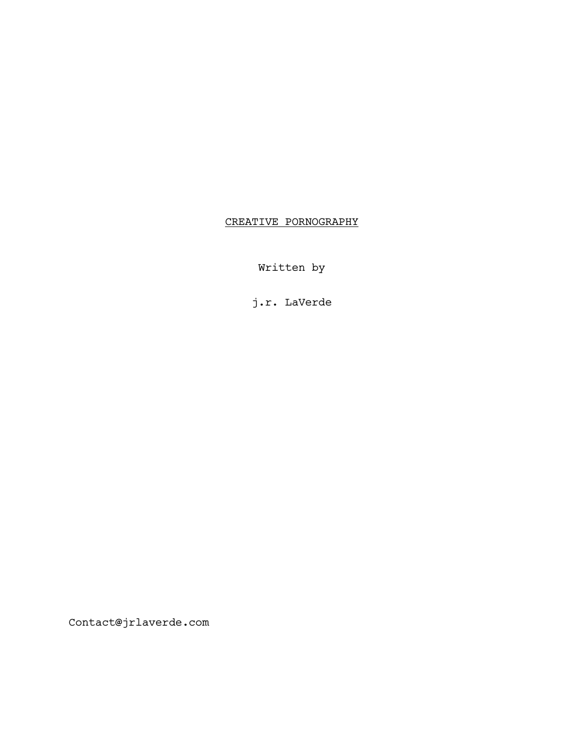# CREATIVE PORNOGRAPHY

Written by

j.r. LaVerde

Contact@jrlaverde.com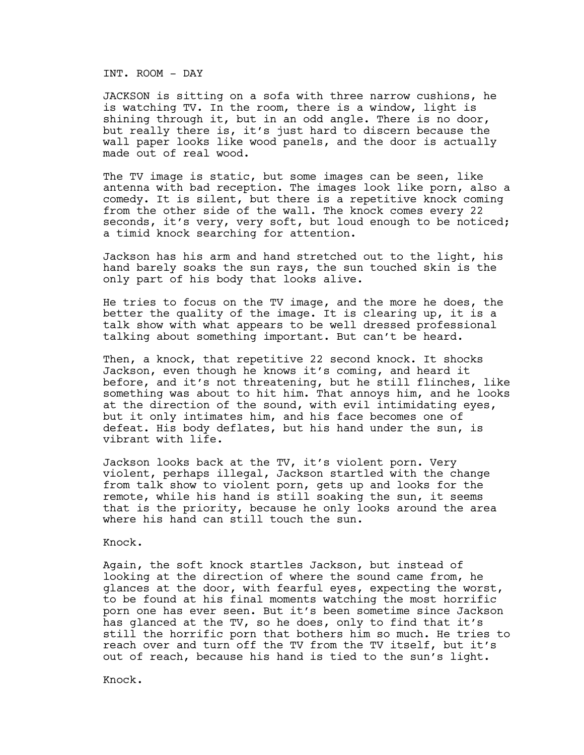#### INT. ROOM - DAY

JACKSON is sitting on a sofa with three narrow cushions, he is watching TV. In the room, there is a window, light is shining through it, but in an odd angle. There is no door, but really there is, it's just hard to discern because the wall paper looks like wood panels, and the door is actually made out of real wood.

The TV image is static, but some images can be seen, like antenna with bad reception. The images look like porn, also a comedy. It is silent, but there is a repetitive knock coming from the other side of the wall. The knock comes every 22 seconds, it's very, very soft, but loud enough to be noticed; a timid knock searching for attention.

Jackson has his arm and hand stretched out to the light, his hand barely soaks the sun rays, the sun touched skin is the only part of his body that looks alive.

He tries to focus on the TV image, and the more he does, the better the quality of the image. It is clearing up, it is a talk show with what appears to be well dressed professional talking about something important. But can't be heard.

Then, a knock, that repetitive 22 second knock. It shocks Jackson, even though he knows it's coming, and heard it before, and it's not threatening, but he still flinches, like something was about to hit him. That annoys him, and he looks at the direction of the sound, with evil intimidating eyes, but it only intimates him, and his face becomes one of defeat. His body deflates, but his hand under the sun, is vibrant with life.

Jackson looks back at the TV, it's violent porn. Very violent, perhaps illegal, Jackson startled with the change from talk show to violent porn, gets up and looks for the remote, while his hand is still soaking the sun, it seems that is the priority, because he only looks around the area where his hand can still touch the sun.

## Knock.

Again, the soft knock startles Jackson, but instead of looking at the direction of where the sound came from, he glances at the door, with fearful eyes, expecting the worst, to be found at his final moments watching the most horrific porn one has ever seen. But it's been sometime since Jackson has glanced at the TV, so he does, only to find that it's still the horrific porn that bothers him so much. He tries to reach over and turn off the TV from the TV itself, but it's out of reach, because his hand is tied to the sun's light.

Knock.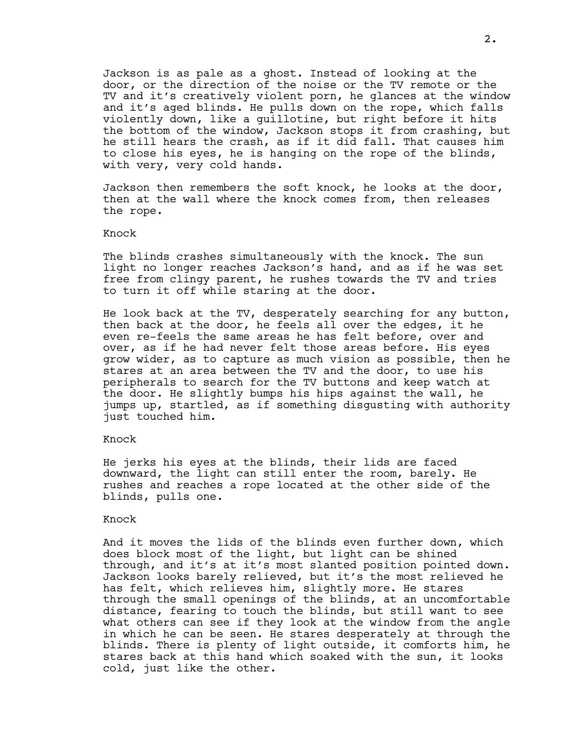Jackson is as pale as a ghost. Instead of looking at the door, or the direction of the noise or the TV remote or the TV and it's creatively violent porn, he glances at the window and it's aged blinds. He pulls down on the rope, which falls violently down, like a guillotine, but right before it hits the bottom of the window, Jackson stops it from crashing, but he still hears the crash, as if it did fall. That causes him to close his eyes, he is hanging on the rope of the blinds, with very, very cold hands.

Jackson then remembers the soft knock, he looks at the door, then at the wall where the knock comes from, then releases the rope.

#### Knock

The blinds crashes simultaneously with the knock. The sun light no longer reaches Jackson's hand, and as if he was set free from clingy parent, he rushes towards the TV and tries to turn it off while staring at the door.

He look back at the TV, desperately searching for any button, then back at the door, he feels all over the edges, it he even re-feels the same areas he has felt before, over and over, as if he had never felt those areas before. His eyes grow wider, as to capture as much vision as possible, then he stares at an area between the TV and the door, to use his peripherals to search for the TV buttons and keep watch at the door. He slightly bumps his hips against the wall, he jumps up, startled, as if something disgusting with authority just touched him.

#### Knock

He jerks his eyes at the blinds, their lids are faced downward, the light can still enter the room, barely. He rushes and reaches a rope located at the other side of the blinds, pulls one.

### Knock

And it moves the lids of the blinds even further down, which does block most of the light, but light can be shined through, and it's at it's most slanted position pointed down. Jackson looks barely relieved, but it's the most relieved he has felt, which relieves him, slightly more. He stares through the small openings of the blinds, at an uncomfortable distance, fearing to touch the blinds, but still want to see what others can see if they look at the window from the angle in which he can be seen. He stares desperately at through the blinds. There is plenty of light outside, it comforts him, he stares back at this hand which soaked with the sun, it looks cold, just like the other.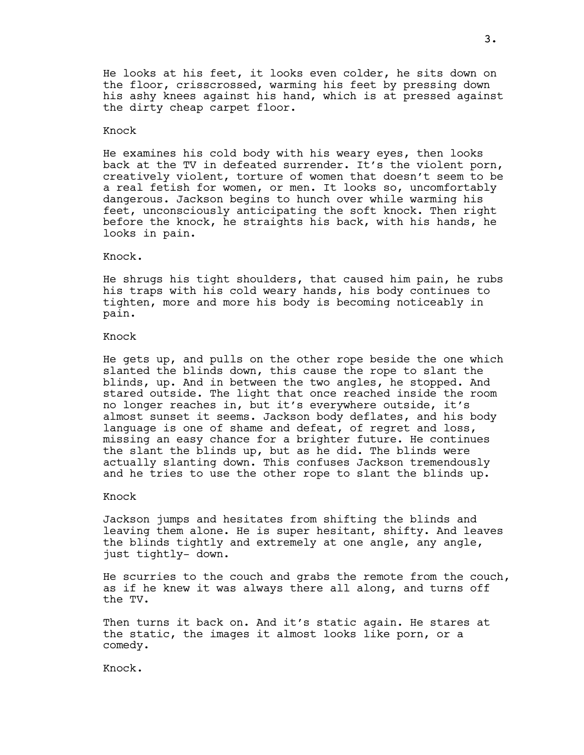He looks at his feet, it looks even colder, he sits down on the floor, crisscrossed, warming his feet by pressing down his ashy knees against his hand, which is at pressed against the dirty cheap carpet floor.

#### Knock

He examines his cold body with his weary eyes, then looks back at the TV in defeated surrender. It's the violent porn, creatively violent, torture of women that doesn't seem to be a real fetish for women, or men. It looks so, uncomfortably dangerous. Jackson begins to hunch over while warming his feet, unconsciously anticipating the soft knock. Then right before the knock, he straights his back, with his hands, he looks in pain.

Knock.

He shrugs his tight shoulders, that caused him pain, he rubs his traps with his cold weary hands, his body continues to tighten, more and more his body is becoming noticeably in pain.

Knock

He gets up, and pulls on the other rope beside the one which slanted the blinds down, this cause the rope to slant the blinds, up. And in between the two angles, he stopped. And stared outside. The light that once reached inside the room no longer reaches in, but it's everywhere outside, it's almost sunset it seems. Jackson body deflates, and his body language is one of shame and defeat, of regret and loss, missing an easy chance for a brighter future. He continues the slant the blinds up, but as he did. The blinds were actually slanting down. This confuses Jackson tremendously and he tries to use the other rope to slant the blinds up.

#### Knock

Jackson jumps and hesitates from shifting the blinds and leaving them alone. He is super hesitant, shifty. And leaves the blinds tightly and extremely at one angle, any angle, just tightly- down.

He scurries to the couch and grabs the remote from the couch, as if he knew it was always there all along, and turns off the TV.

Then turns it back on. And it's static again. He stares at the static, the images it almost looks like porn, or a comedy.

Knock.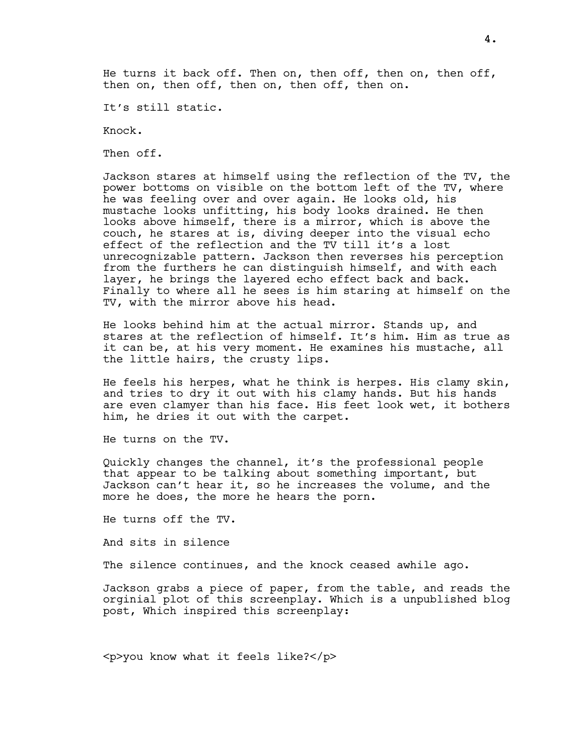He turns it back off. Then on, then off, then on, then off, then on, then off, then on, then off, then on.

It's still static.

Knock.

Then off.

Jackson stares at himself using the reflection of the TV, the power bottoms on visible on the bottom left of the TV, where he was feeling over and over again. He looks old, his mustache looks unfitting, his body looks drained. He then looks above himself, there is a mirror, which is above the couch, he stares at is, diving deeper into the visual echo effect of the reflection and the TV till it's a lost unrecognizable pattern. Jackson then reverses his perception from the furthers he can distinguish himself, and with each layer, he brings the layered echo effect back and back. Finally to where all he sees is him staring at himself on the TV, with the mirror above his head.

He looks behind him at the actual mirror. Stands up, and stares at the reflection of himself. It's him. Him as true as it can be, at his very moment. He examines his mustache, all the little hairs, the crusty lips.

He feels his herpes, what he think is herpes. His clamy skin, and tries to dry it out with his clamy hands. But his hands are even clamyer than his face. His feet look wet, it bothers him, he dries it out with the carpet.

He turns on the TV.

Quickly changes the channel, it's the professional people that appear to be talking about something important, but Jackson can't hear it, so he increases the volume, and the more he does, the more he hears the porn.

He turns off the TV.

And sits in silence

The silence continues, and the knock ceased awhile ago.

Jackson grabs a piece of paper, from the table, and reads the orginial plot of this screenplay. Which is a unpublished blog post, Which inspired this screenplay:

<p>you know what it feels like?</p>